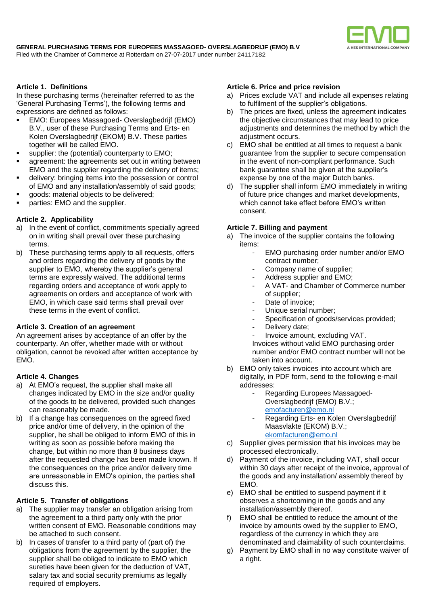

## **Article 1. Definitions**

In these purchasing terms (hereinafter referred to as the 'General Purchasing Terms'), the following terms and expressions are defined as follows:

- EMO: Europees Massagoed- Overslagbedrijf (EMO) B.V., user of these Purchasing Terms and Erts- en Kolen Overslagbedrijf (EKOM) B.V. These parties together will be called EMO.
- supplier: the (potential) counterparty to EMO;
- agreement: the agreements set out in writing between EMO and the supplier regarding the delivery of items;
- delivery: bringing items into the possession or control of EMO and any installation/assembly of said goods;
- goods: material objects to be delivered;
- parties: EMO and the supplier.

## **Article 2. Applicability**

- a) In the event of conflict, commitments specially agreed on in writing shall prevail over these purchasing terms.
- b) These purchasing terms apply to all requests, offers and orders regarding the delivery of goods by the supplier to EMO, whereby the supplier's general terms are expressly waived. The additional terms regarding orders and acceptance of work apply to agreements on orders and acceptance of work with EMO, in which case said terms shall prevail over these terms in the event of conflict.

#### **Article 3. Creation of an agreement**

An agreement arises by acceptance of an offer by the counterparty. An offer, whether made with or without obligation, cannot be revoked after written acceptance by EMO.

#### **Article 4. Changes**

- a) At EMO's request, the supplier shall make all changes indicated by EMO in the size and/or quality of the goods to be delivered, provided such changes can reasonably be made.
- b) If a change has consequences on the agreed fixed price and/or time of delivery, in the opinion of the supplier, he shall be obliged to inform EMO of this in writing as soon as possible before making the change, but within no more than 8 business days after the requested change has been made known. If the consequences on the price and/or delivery time are unreasonable in EMO's opinion, the parties shall discuss this.

## **Article 5. Transfer of obligations**

- a) The supplier may transfer an obligation arising from the agreement to a third party only with the prior written consent of EMO. Reasonable conditions may be attached to such consent.
- b) In cases of transfer to a third party of (part of) the obligations from the agreement by the supplier, the supplier shall be obliged to indicate to EMO which sureties have been given for the deduction of VAT, salary tax and social security premiums as legally required of employers.

# **Article 6. Price and price revision**

- a) Prices exclude VAT and include all expenses relating to fulfilment of the supplier's obligations.
- b) The prices are fixed, unless the agreement indicates the objective circumstances that may lead to price adjustments and determines the method by which the adjustment occurs.
- c) EMO shall be entitled at all times to request a bank guarantee from the supplier to secure compensation in the event of non-compliant performance. Such bank guarantee shall be given at the supplier's expense by one of the major Dutch banks.
- d) The supplier shall inform EMO immediately in writing of future price changes and market developments, which cannot take effect before EMO's written consent.

#### **Article 7. Billing and payment**

- a) The invoice of the supplier contains the following items:
	- EMO purchasing order number and/or EMO contract number;
	- Company name of supplier;
	- Address supplier and EMO;
	- A VAT- and Chamber of Commerce number of supplier;
	- Date of invoice;
	- Unique serial number;
	- Specification of goods/services provided;
	- Delivery date;
	- Invoice amount, excluding VAT. Invoices without valid EMO purchasing order number and/or EMO contract number will not be taken into account.
- b) EMO only takes invoices into account which are digitally, in PDF form, send to the following e-mail addresses:
	- Regarding Europees Massagoed-Overslagbedrijf (EMO) B.V.; [emofacturen@emo.nl](mailto:emofacturen@emo.nl)
	- Regarding Erts- en Kolen Overslagbedrijf Maasvlakte (EKOM) B.V.; [ekomfacturen@emo.nl](mailto:ekomfacturen@emo.nl)
- c) Supplier gives permission that his invoices may be processed electronically.
- d) Payment of the invoice, including VAT, shall occur within 30 days after receipt of the invoice, approval of the goods and any installation/ assembly thereof by EMO.
- e) EMO shall be entitled to suspend payment if it observes a shortcoming in the goods and any installation/assembly thereof.
- f) EMO shall be entitled to reduce the amount of the invoice by amounts owed by the supplier to EMO, regardless of the currency in which they are denominated and claimability of such counterclaims.
- g) Payment by EMO shall in no way constitute waiver of a right.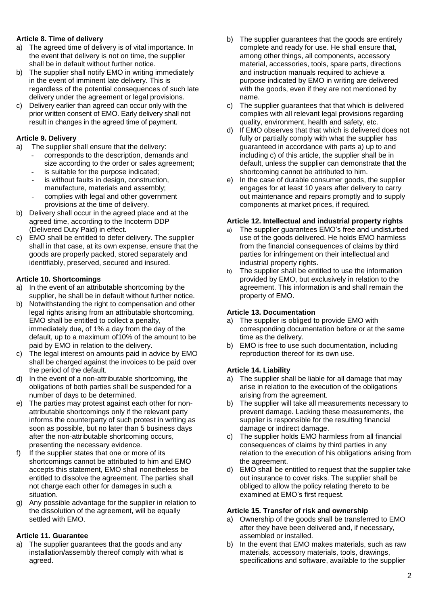# **Article 8. Time of delivery**

- a) The agreed time of delivery is of vital importance. In the event that delivery is not on time, the supplier shall be in default without further notice.
- b) The supplier shall notify EMO in writing immediately in the event of imminent late delivery. This is regardless of the potential consequences of such late delivery under the agreement or legal provisions.
- c) Delivery earlier than agreed can occur only with the prior written consent of EMO. Early delivery shall not result in changes in the agreed time of payment.

# **Article 9. Delivery**

- a) The supplier shall ensure that the delivery:
	- corresponds to the description, demands and size according to the order or sales agreement;
	- is suitable for the purpose indicated:
	- is without faults in design, construction. manufacture, materials and assembly;
	- complies with legal and other government provisions at the time of delivery.
- b) Delivery shall occur in the agreed place and at the agreed time, according to the Incoterm DDP (Delivered Duty Paid) in effect.
- c) EMO shall be entitled to defer delivery. The supplier shall in that case, at its own expense, ensure that the goods are properly packed, stored separately and identifiably, preserved, secured and insured.

# **Article 10. Shortcomings**

- a) In the event of an attributable shortcoming by the supplier, he shall be in default without further notice.
- b) Notwithstanding the right to compensation and other legal rights arising from an attributable shortcoming, EMO shall be entitled to collect a penalty, immediately due, of 1% a day from the day of the default, up to a maximum of10% of the amount to be paid by EMO in relation to the delivery.
- c) The legal interest on amounts paid in advice by EMO shall be charged against the invoices to be paid over the period of the default.
- d) In the event of a non-attributable shortcoming, the obligations of both parties shall be suspended for a number of days to be determined.
- e) The parties may protest against each other for nonattributable shortcomings only if the relevant party informs the counterparty of such protest in writing as soon as possible, but no later than 5 business days after the non-attributable shortcoming occurs, presenting the necessary evidence.
- f) If the supplier states that one or more of its shortcomings cannot be attributed to him and EMO accepts this statement, EMO shall nonetheless be entitled to dissolve the agreement. The parties shall not charge each other for damages in such a situation.
- g) Any possible advantage for the supplier in relation to the dissolution of the agreement, will be equally settled with EMO.

# **Article 11. Guarantee**

a) The supplier guarantees that the goods and any installation/assembly thereof comply with what is agreed.

- b) The supplier guarantees that the goods are entirely complete and ready for use. He shall ensure that, among other things, all components, accessory material, accessories, tools, spare parts, directions and instruction manuals required to achieve a purpose indicated by EMO in writing are delivered with the goods, even if they are not mentioned by name.
- c) The supplier guarantees that that which is delivered complies with all relevant legal provisions regarding quality, environment, health and safety, etc.
- d) If EMO observes that that which is delivered does not fully or partially comply with what the supplier has guaranteed in accordance with parts a) up to and including c) of this article, the supplier shall be in default, unless the supplier can demonstrate that the shortcoming cannot be attributed to him.
- e) In the case of durable consumer goods, the supplier engages for at least 10 years after delivery to carry out maintenance and repairs promptly and to supply components at market prices, if required.

# **Article 12. Intellectual and industrial property rights**

- a) The supplier guarantees EMO's free and undisturbed use of the goods delivered. He holds EMO harmless from the financial consequences of claims by third parties for infringement on their intellectual and industrial property rights.
- b) The supplier shall be entitled to use the information provided by EMO, but exclusively in relation to the agreement. This information is and shall remain the property of EMO.

## **Article 13. Documentation**

- a) The supplier is obliged to provide EMO with corresponding documentation before or at the same time as the delivery.
- b) EMO is free to use such documentation, including reproduction thereof for its own use.

## **Article 14. Liability**

- a) The supplier shall be liable for all damage that may arise in relation to the execution of the obligations arising from the agreement.
- b) The supplier will take all measurements necessary to prevent damage. Lacking these measurements, the supplier is responsible for the resulting financial damage or indirect damage.
- c) The supplier holds EMO harmless from all financial consequences of claims by third parties in any relation to the execution of his obligations arising from the agreement.
- d) EMO shall be entitled to request that the supplier take out insurance to cover risks. The supplier shall be obliged to allow the policy relating thereto to be examined at EMO's first request.

## **Article 15. Transfer of risk and ownership**

- a) Ownership of the goods shall be transferred to EMO after they have been delivered and, if necessary, assembled or installed.
- b) In the event that EMO makes materials, such as raw materials, accessory materials, tools, drawings, specifications and software, available to the supplier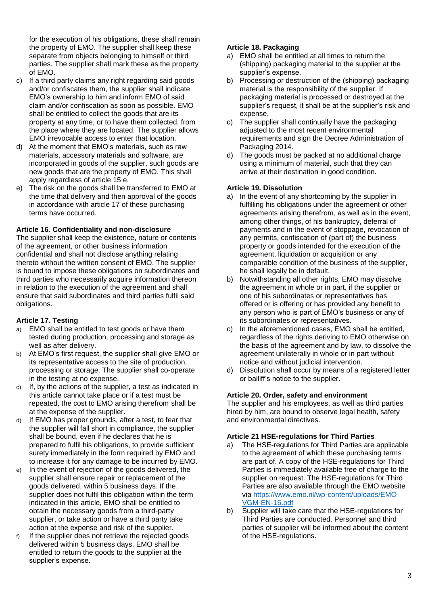for the execution of his obligations, these shall remain the property of EMO. The supplier shall keep these separate from objects belonging to himself or third parties. The supplier shall mark these as the property of EMO.

- c) If a third party claims any right regarding said goods and/or confiscates them, the supplier shall indicate EMO's ownership to him and inform EMO of said claim and/or confiscation as soon as possible. EMO shall be entitled to collect the goods that are its property at any time, or to have them collected, from the place where they are located. The supplier allows EMO irrevocable access to enter that location.
- d) At the moment that EMO's materials, such as raw materials, accessory materials and software, are incorporated in goods of the supplier, such goods are new goods that are the property of EMO. This shall apply regardless of article 15 e.
- e) The risk on the goods shall be transferred to EMO at the time that delivery and then approval of the goods in accordance with article 17 of these purchasing terms have occurred.

## **Article 16. Confidentiality and non-disclosure**

The supplier shall keep the existence, nature or contents of the agreement, or other business information confidential and shall not disclose anything relating thereto without the written consent of EMO. The supplier is bound to impose these obligations on subordinates and third parties who necessarily acquire information thereon in relation to the execution of the agreement and shall ensure that said subordinates and third parties fulfil said obligations.

## **Article 17. Testing**

- EMO shall be entitled to test goods or have them tested during production, processing and storage as well as after delivery.
- b) At EMO's first request, the supplier shall give EMO or its representative access to the site of production, processing or storage. The supplier shall co-operate in the testing at no expense.
- c) If, by the actions of the supplier, a test as indicated in this article cannot take place or if a test must be repeated, the cost to EMO arising therefrom shall be at the expense of the supplier.
- d) If EMO has proper grounds, after a test, to fear that the supplier will fall short in compliance, the supplier shall be bound, even if he declares that he is prepared to fulfil his obligations, to provide sufficient surety immediately in the form required by EMO and to increase it for any damage to be incurred by EMO.
- e) In the event of rejection of the goods delivered, the supplier shall ensure repair or replacement of the goods delivered, within 5 business days. If the supplier does not fulfil this obligation within the term indicated in this article, EMO shall be entitled to obtain the necessary goods from a third-party supplier, or take action or have a third party take action at the expense and risk of the supplier.
- f) If the supplier does not retrieve the rejected goods delivered within 5 business days, EMO shall be entitled to return the goods to the supplier at the supplier's expense.

# **Article 18. Packaging**

- a) EMO shall be entitled at all times to return the (shipping) packaging material to the supplier at the supplier's expense.
- b) Processing or destruction of the (shipping) packaging material is the responsibility of the supplier. If packaging material is processed or destroyed at the supplier's request, it shall be at the supplier's risk and expense.
- c) The supplier shall continually have the packaging adjusted to the most recent environmental requirements and sign the Decree Administration of Packaging 2014.
- d) The goods must be packed at no additional charge using a minimum of material, such that they can arrive at their destination in good condition.

# **Article 19. Dissolution**

- a) In the event of any shortcoming by the supplier in fulfilling his obligations under the agreement or other agreements arising therefrom, as well as in the event, among other things, of his bankruptcy, deferral of payments and in the event of stoppage, revocation of any permits, confiscation of (part of) the business property or goods intended for the execution of the agreement, liquidation or acquisition or any comparable condition of the business of the supplier, he shall legally be in default.
- b) Notwithstanding all other rights, EMO may dissolve the agreement in whole or in part, if the supplier or one of his subordinates or representatives has offered or is offering or has provided any benefit to any person who is part of EMO's business or any of its subordinates or representatives.
- c) In the aforementioned cases, EMO shall be entitled, regardless of the rights deriving to EMO otherwise on the basis of the agreement and by law, to dissolve the agreement unilaterally in whole or in part without notice and without judicial intervention.
- d) Dissolution shall occur by means of a registered letter or bailiff's notice to the supplier.

## **Article 20. Order, safety and environment**

The supplier and his employees, as well as third parties hired by him, are bound to observe legal health, safety and environmental directives.

## **Article 21 HSE-regulations for Third Parties**

- a) The HSE-regulations for Third Parties are applicable to the agreement of which these purchasing terms are part of. A copy of the HSE-regulations for Third Parties is immediately available free of charge to the supplier on request. The HSE-regulations for Third Parties are also available through the EMO website via [https://www.emo.nl/wp-content/uploads/EMO-](https://www.emo.nl/wp-content/uploads/EMO-VGM-EN-16.pdf)[VGM-EN-16.pdf](https://www.emo.nl/wp-content/uploads/EMO-VGM-EN-16.pdf)
- b) Supplier will take care that the HSE-regulations for Third Parties are conducted. Personnel and third parties of supplier will be informed about the content of the HSE-regulations.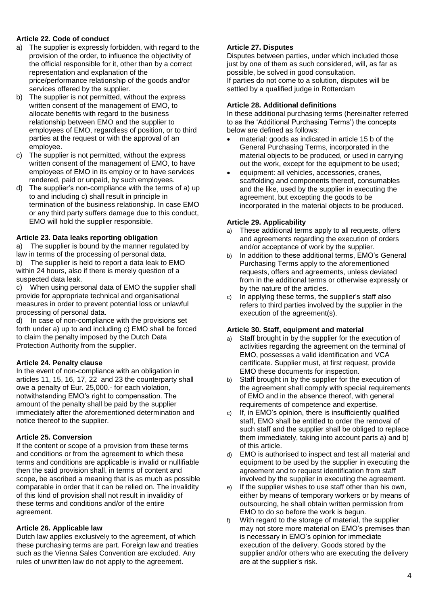# **Article 22. Code of conduct**

- a) The supplier is expressly forbidden, with regard to the provision of the order, to influence the objectivity of the official responsible for it, other than by a correct representation and explanation of the price/performance relationship of the goods and/or services offered by the supplier.
- b) The supplier is not permitted, without the express written consent of the management of EMO, to allocate benefits with regard to the business relationship between EMO and the supplier to employees of EMO, regardless of position, or to third parties at the request or with the approval of an employee.
- c) The supplier is not permitted, without the express written consent of the management of EMO, to have employees of EMO in its employ or to have services rendered, paid or unpaid, by such employees.
- d) The supplier's non-compliance with the terms of a) up to and including c) shall result in principle in termination of the business relationship. In case EMO or any third party suffers damage due to this conduct, EMO will hold the supplier responsible.

## **Article 23. Data leaks reporting obligation**

a) The supplier is bound by the manner regulated by law in terms of the processing of personal data. b) The supplier is held to report a data leak to EMO

within 24 hours, also if there is merely question of a suspected data leak.

c) When using personal data of EMO the supplier shall provide for appropriate technical and organisational measures in order to prevent potential loss or unlawful processing of personal data.

d) In case of non-compliance with the provisions set forth under a) up to and including c) EMO shall be forced to claim the penalty imposed by the Dutch Data Protection Authority from the supplier.

## **Article 24. Penalty clause**

In the event of non-compliance with an obligation in articles 11, 15, 16, 17, 22 and 23 the counterparty shall owe a penalty of Eur. 25,000.- for each violation, notwithstanding EMO's right to compensation. The amount of the penalty shall be paid by the supplier immediately after the aforementioned determination and notice thereof to the supplier.

## **Article 25. Conversion**

If the content or scope of a provision from these terms and conditions or from the agreement to which these terms and conditions are applicable is invalid or nullifiable then the said provision shall, in terms of content and scope, be ascribed a meaning that is as much as possible comparable in order that it can be relied on. The invalidity of this kind of provision shall not result in invalidity of these terms and conditions and/or of the entire agreement.

#### **Article 26. Applicable law**

Dutch law applies exclusively to the agreement, of which these purchasing terms are part. Foreign law and treaties such as the Vienna Sales Convention are excluded. Any rules of unwritten law do not apply to the agreement.

#### **Article 27. Disputes**

Disputes between parties, under which included those just by one of them as such considered, will, as far as possible, be solved in good consultation. If parties do not come to a solution, disputes will be settled by a qualified judge in Rotterdam

#### **Article 28. Additional definitions**

In these additional purchasing terms (hereinafter referred to as the 'Additional Purchasing Terms') the concepts below are defined as follows:

- material: goods as indicated in article 15 b of the General Purchasing Terms, incorporated in the material objects to be produced, or used in carrying out the work, except for the equipment to be used;
- equipment: all vehicles, accessories, cranes, scaffolding and components thereof, consumables and the like, used by the supplier in executing the agreement, but excepting the goods to be incorporated in the material objects to be produced.

#### **Article 29. Applicability**

- a) These additional terms apply to all requests, offers and agreements regarding the execution of orders and/or acceptance of work by the supplier.
- b) In addition to these additional terms, EMO's General Purchasing Terms apply to the aforementioned requests, offers and agreements, unless deviated from in the additional terms or otherwise expressly or by the nature of the articles.
- c) In applying these terms, the supplier's staff also refers to third parties involved by the supplier in the execution of the agreement(s).

#### **Article 30. Staff, equipment and material**

- a) Staff brought in by the supplier for the execution of activities regarding the agreement on the terminal of EMO, possesses a valid identification and VCA certificate. Supplier must, at first request, provide EMO these documents for inspection.
- b) Staff brought in by the supplier for the execution of the agreement shall comply with special requirements of EMO and in the absence thereof, with general requirements of competence and expertise.
- c) If, in EMO's opinion, there is insufficiently qualified staff, EMO shall be entitled to order the removal of such staff and the supplier shall be obliged to replace them immediately, taking into account parts a) and b) of this article.
- d) EMO is authorised to inspect and test all material and equipment to be used by the supplier in executing the agreement and to request identification from staff involved by the supplier in executing the agreement.
- e) If the supplier wishes to use staff other than his own, either by means of temporary workers or by means of outsourcing, he shall obtain written permission from EMO to do so before the work is begun.
- f) With regard to the storage of material, the supplier may not store more material on EMO's premises than is necessary in EMO's opinion for immediate execution of the delivery. Goods stored by the supplier and/or others who are executing the delivery are at the supplier's risk.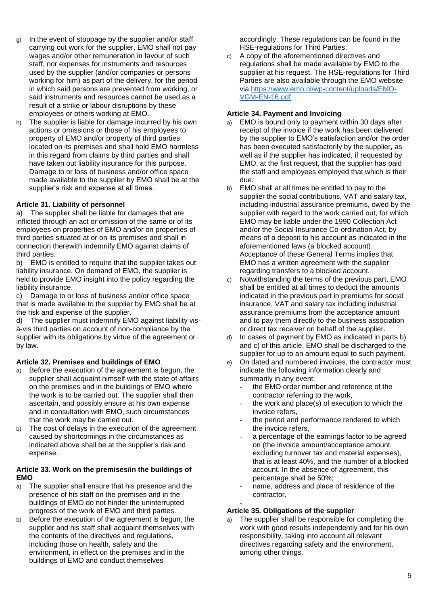- g) In the event of stoppage by the supplier and/or staff carrying out work for the supplier, EMO shall not pay wages and/or other remuneration in favour of such staff, nor expenses for instruments and resources used by the supplier (and/or companies or persons working for him) as part of the delivery, for the period in which said persons are prevented from working, or said instruments and resources cannot be used as a result of a strike or labour disruptions by these employees or others working at EMO.
- h) The supplier is liable for damage incurred by his own actions or omissions or those of his employees to property of EMO and/or property of third parties located on its premises and shall hold EMO harmless in this regard from claims by third parties and shall have taken out liability insurance for this purpose. Damage to or loss of business and/or office space made available to the supplier by EMO shall be at the supplier's risk and expense at all times.

## **Article 31. Liability of personnel**

a) The supplier shall be liable for damages that are inflicted through an act or omission of the same or of its employees on properties of EMO and/or on properties of third parties situated at or on its premises and shall in connection therewith indemnify EMO against claims of third parties.

b) EMO is entitled to require that the supplier takes out liability insurance. On demand of EMO, the supplier is held to provide EMO insight into the policy regarding the liability insurance.

c) Damage to or loss of business and/or office space that is made available to the supplier by EMO shall be at the risk and expense of the supplier.

d) The supplier must indemnify EMO against liability visà-vis third parties on account of non-compliance by the supplier with its obligations by virtue of the agreement or by law.

## **Article 32. Premises and buildings of EMO**

- a) Before the execution of the agreement is begun, the supplier shall acquaint himself with the state of affairs on the premises and in the buildings of EMO where the work is to be carried out. The supplier shall then ascertain, and possibly ensure at his own expense and in consultation with EMO, such circumstances that the work may be carried out.
- b) The cost of delays in the execution of the agreement caused by shortcomings in the circumstances as indicated above shall be at the supplier's risk and expense.

# **Article 33. Work on the premises/in the buildings of EMO**

- a) The supplier shall ensure that his presence and the presence of his staff on the premises and in the buildings of EMO do not hinder the uninterrupted progress of the work of EMO and third parties.
- b) Before the execution of the agreement is begun, the supplier and his staff shall acquaint themselves with the contents of the directives and regulations, including those on health, safety and the environment, in effect on the premises and in the buildings of EMO and conduct themselves

accordingly. These regulations can be found in the HSE-regulations for Third Parties.

c) A copy of the aforementioned directives and regulations shall be made available by EMO to the supplier at his request. The HSE-regulations for Third Parties are also available through the EMO website via [https://www.emo.nl/wp-content/uploads/EMO-](https://www.emo.nl/wp-content/uploads/EMO-VGM-EN-16.pdf)[VGM-EN-16.pdf](https://www.emo.nl/wp-content/uploads/EMO-VGM-EN-16.pdf)

# **Article 34. Payment and Invoicing**

- a) EMO is bound only to payment within 30 days after receipt of the invoice if the work has been delivered by the supplier to EMO's satisfaction and/or the order has been executed satisfactorily by the supplier, as well as if the supplier has indicated, if requested by EMO, at the first request, that the supplier has paid the staff and employees employed that which is their due.
- b) EMO shall at all times be entitled to pay to the supplier the social contributions, VAT and salary tax, including industrial assurance premiums, owed by the supplier with regard to the work carried out, for which EMO may be liable under the 1990 Collection Act and/or the Social Insurance Co-ordination Act, by means of a deposit to his account as indicated in the aforementioned laws (a blocked account). Acceptance of these General Terms implies that EMO has a written agreement with the supplier regarding transfers to a blocked account.
- c) Notwithstanding the terms of the previous part, EMO shall be entitled at all times to deduct the amounts indicated in the previous part in premiums for social insurance, VAT and salary tax including industrial assurance premiums from the acceptance amount and to pay them directly to the business association or direct tax receiver on behalf of the supplier.
- In cases of payment by EMO as indicated in parts b) and c) of this article, EMO shall be discharged to the supplier for up to an amount equal to such payment.
- e) On dated and numbered invoices, the contractor must indicate the following information clearly and summarily in any event:
	- the EMO order number and reference of the contractor referring to the work,
	- the work and place(s) of execution to which the invoice refers,
	- the period and performance rendered to which the invoice refers,
	- a percentage of the earnings factor to be agreed on (the invoice amount/acceptance amount, excluding turnover tax and material expenses), that is at least 40%, and the number of a blocked account. In the absence of agreement, this percentage shall be 50%;
	- name, address and place of residence of the contractor.

#### - **Article 35. Obligations of the supplier**

a) The supplier shall be responsible for completing the work with good results independently and for his own responsibility, taking into account all relevant directives regarding safety and the environment, among other things.